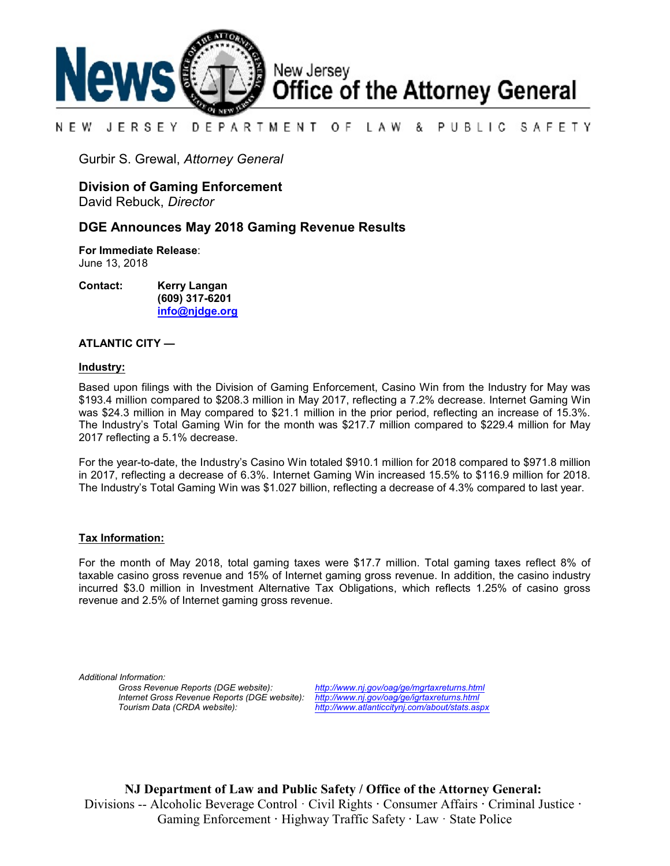

#### NEW JERSEY DEPARTMENT OF LAW & PUBLIC SAFETY

Gurbir S. Grewal, *Attorney General*

### **Division of Gaming Enforcement**

David Rebuck, *Director*

### **DGE Announces May 2018 Gaming Revenue Results**

**For Immediate Release**: June 13, 2018

**Contact: Kerry Langan (609) 317-6201 [info@njdge.org](file:///|//info@njdge.org)**

### **ATLANTIC CITY —**

### **Industry:**

Based upon filings with the Division of Gaming Enforcement, Casino Win from the Industry for May was \$193.4 million compared to \$208.3 million in May 2017, reflecting a 7.2% decrease. Internet Gaming Win was \$24.3 million in May compared to \$21.1 million in the prior period, reflecting an increase of 15.3%. The Industry's Total Gaming Win for the month was \$217.7 million compared to \$229.4 million for May 2017 reflecting a 5.1% decrease.

For the year-to-date, the Industry's Casino Win totaled \$910.1 million for 2018 compared to \$971.8 million in 2017, reflecting a decrease of 6.3%. Internet Gaming Win increased 15.5% to \$116.9 million for 2018. The Industry's Total Gaming Win was \$1.027 billion, reflecting a decrease of 4.3% compared to last year.

### **Tax Information:**

For the month of May 2018, total gaming taxes were \$17.7 million. Total gaming taxes reflect 8% of taxable casino gross revenue and 15% of Internet gaming gross revenue. In addition, the casino industry incurred \$3.0 million in Investment Alternative Tax Obligations, which reflects 1.25% of casino gross revenue and 2.5% of Internet gaming gross revenue.

*Additional Information: Internet Gross Revenue Reports (DGE website): <http://www.nj.gov/oag/ge/igrtaxreturns.html> Tourism Data (CRDA website): <http://www.atlanticcitynj.com/about/stats.aspx>*

*Gross Revenue Reports (DGE website): <http://www.nj.gov/oag/ge/mgrtaxreturns.html>*

**NJ Department of Law and Public Safety / Office of the Attorney General:** Divisions -- Alcoholic Beverage Control · Civil Rights **·** Consumer Affairs **·** Criminal Justice **·**  Gaming Enforcement **·** Highway Traffic Safety **·** Law · State Police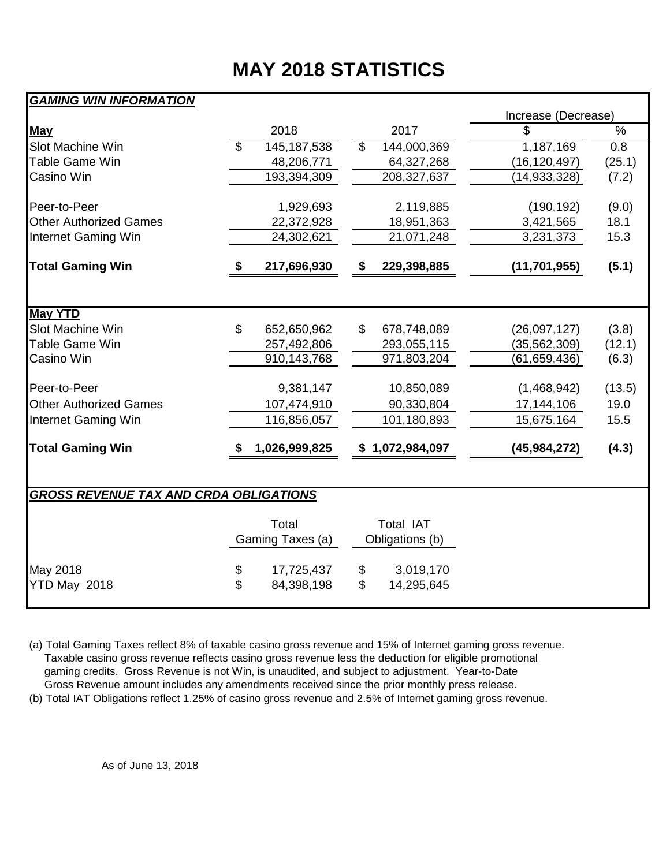# **MAY 2018 STATISTICS**

## *GAMING WIN INFORMATION*

|                                               |                |                           |          |                              | Increase (Decrease) |        |  |  |  |
|-----------------------------------------------|----------------|---------------------------|----------|------------------------------|---------------------|--------|--|--|--|
| <b>May</b>                                    |                | 2018                      |          | 2017                         | \$                  | %      |  |  |  |
| Slot Machine Win                              | $\mathfrak{L}$ | 145, 187, 538             | \$       | 144,000,369                  | 1,187,169           | 0.8    |  |  |  |
| <b>Table Game Win</b>                         |                | 48,206,771                |          | 64,327,268                   | (16, 120, 497)      | (25.1) |  |  |  |
| Casino Win                                    |                | 193,394,309               |          | 208,327,637                  | (14, 933, 328)      | (7.2)  |  |  |  |
| Peer-to-Peer                                  |                | 1,929,693                 |          | 2,119,885                    | (190, 192)          | (9.0)  |  |  |  |
| <b>Other Authorized Games</b>                 |                | 22,372,928                |          | 18,951,363                   | 3,421,565           | 18.1   |  |  |  |
| <b>Internet Gaming Win</b>                    |                | 24,302,621                |          | 21,071,248                   | 3,231,373           | 15.3   |  |  |  |
| <b>Total Gaming Win</b>                       |                | 217,696,930               | \$       | 229,398,885                  | (11, 701, 955)      | (5.1)  |  |  |  |
|                                               |                |                           |          |                              |                     |        |  |  |  |
| <b>May YTD</b>                                |                |                           |          |                              |                     |        |  |  |  |
| Slot Machine Win                              | \$             | 652,650,962               | \$       | 678,748,089                  | (26,097,127)        | (3.8)  |  |  |  |
| Table Game Win<br>Casino Win                  |                | 257,492,806               |          | 293,055,115                  | (35, 562, 309)      | (12.1) |  |  |  |
|                                               |                | 910, 143, 768             |          | 971,803,204                  | (61,659,436)        | (6.3)  |  |  |  |
| Peer-to-Peer                                  |                | 9,381,147                 |          | 10,850,089                   | (1,468,942)         | (13.5) |  |  |  |
| <b>Other Authorized Games</b>                 |                | 107,474,910               |          | 90,330,804                   | 17,144,106          | 19.0   |  |  |  |
| Internet Gaming Win                           |                | 116,856,057               |          | 101,180,893                  | 15,675,164          | 15.5   |  |  |  |
| <b>Total Gaming Win</b>                       |                | 1,026,999,825             |          | \$1,072,984,097              | (45, 984, 272)      | (4.3)  |  |  |  |
|                                               |                |                           |          |                              |                     |        |  |  |  |
| <b>GROSS REVENUE TAX AND CRDA OBLIGATIONS</b> |                |                           |          |                              |                     |        |  |  |  |
|                                               |                | Total<br>Gaming Taxes (a) |          | Total IAT<br>Obligations (b) |                     |        |  |  |  |
| May 2018<br>YTD May 2018                      | \$<br>\$       | 17,725,437<br>84,398,198  | \$<br>\$ | 3,019,170<br>14,295,645      |                     |        |  |  |  |

(a) Total Gaming Taxes reflect 8% of taxable casino gross revenue and 15% of Internet gaming gross revenue. Taxable casino gross revenue reflects casino gross revenue less the deduction for eligible promotional gaming credits. Gross Revenue is not Win, is unaudited, and subject to adjustment. Year-to-Date Gross Revenue amount includes any amendments received since the prior monthly press release.

(b) Total IAT Obligations reflect 1.25% of casino gross revenue and 2.5% of Internet gaming gross revenue.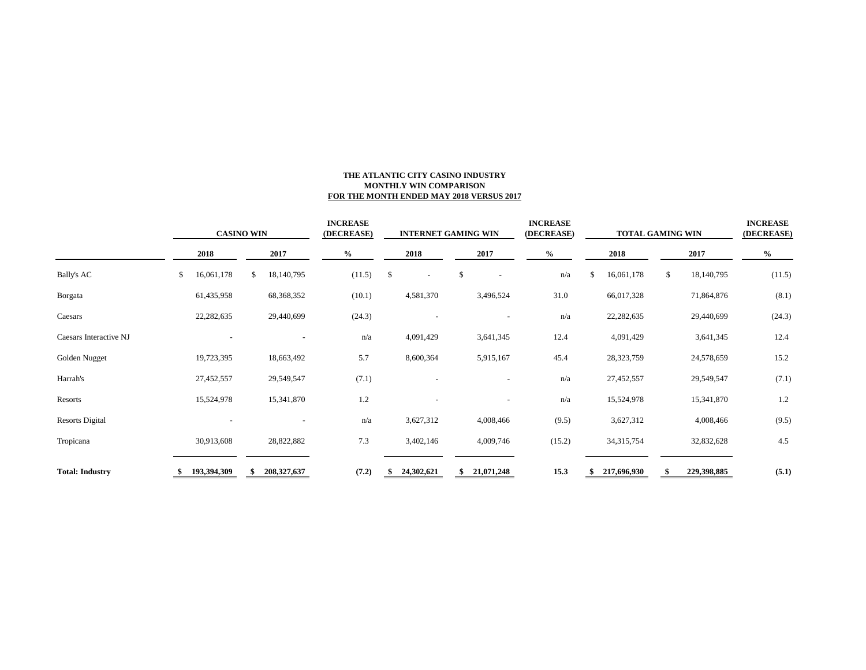### **THE ATLANTIC CITY CASINO INDUSTRY MONTHLY WIN COMPARISON FOR THE MONTH ENDED MAY 2018 VERSUS 2017**

|                        | <b>CASINO WIN</b> |             |    | <b>INCREASE</b><br>(DECREASE) |      | <b>INTERNET GAMING WIN</b> |              | <b>INCREASE</b><br>(DECREASE) | <b>TOTAL GAMING WIN</b>  |        |    |              | <b>INCREASE</b><br>(DECREASE) |             |        |
|------------------------|-------------------|-------------|----|-------------------------------|------|----------------------------|--------------|-------------------------------|--------------------------|--------|----|--------------|-------------------------------|-------------|--------|
|                        |                   | 2018        |    | 2017                          | $\%$ |                            | 2018         | 2017                          |                          | $\%$   |    | 2018         | 2017                          |             | $\%$   |
| <b>Bally's AC</b>      | \$                | 16,061,178  | S. | 18,140,795                    |      | (11.5)                     | \$<br>$\sim$ | \$                            | $\overline{\phantom{a}}$ | n/a    | \$ | 16,061,178   | \$                            | 18,140,795  | (11.5) |
| Borgata                |                   | 61,435,958  |    | 68,368,352                    |      | (10.1)                     | 4,581,370    |                               | 3,496,524                | 31.0   |    | 66,017,328   |                               | 71,864,876  | (8.1)  |
| Caesars                |                   | 22,282,635  |    | 29,440,699                    |      | (24.3)                     |              |                               |                          | n/a    |    | 22, 282, 635 |                               | 29,440,699  | (24.3) |
| Caesars Interactive NJ |                   |             |    |                               |      | n/a                        | 4,091,429    |                               | 3,641,345                | 12.4   |    | 4,091,429    |                               | 3,641,345   | 12.4   |
| Golden Nugget          |                   | 19,723,395  |    | 18,663,492                    |      | 5.7                        | 8,600,364    |                               | 5,915,167                | 45.4   |    | 28,323,759   |                               | 24,578,659  | 15.2   |
| Harrah's               |                   | 27,452,557  |    | 29,549,547                    |      | (7.1)                      |              |                               |                          | n/a    |    | 27,452,557   |                               | 29,549,547  | (7.1)  |
| Resorts                |                   | 15,524,978  |    | 15,341,870                    |      | 1.2                        |              |                               |                          | n/a    |    | 15,524,978   |                               | 15,341,870  | 1.2    |
| <b>Resorts Digital</b> |                   |             |    |                               |      | n/a                        | 3,627,312    |                               | 4,008,466                | (9.5)  |    | 3,627,312    |                               | 4,008,466   | (9.5)  |
| Tropicana              |                   | 30,913,608  |    | 28,822,882                    |      | 7.3                        | 3,402,146    |                               | 4,009,746                | (15.2) |    | 34, 315, 754 |                               | 32,832,628  | 4.5    |
| <b>Total: Industry</b> |                   | 193,394,309 |    | 208, 327, 637                 |      | (7.2)                      | 24,302,621   | \$                            | 21,071,248               | 15.3   |    | 217,696,930  |                               | 229,398,885 | (5.1)  |